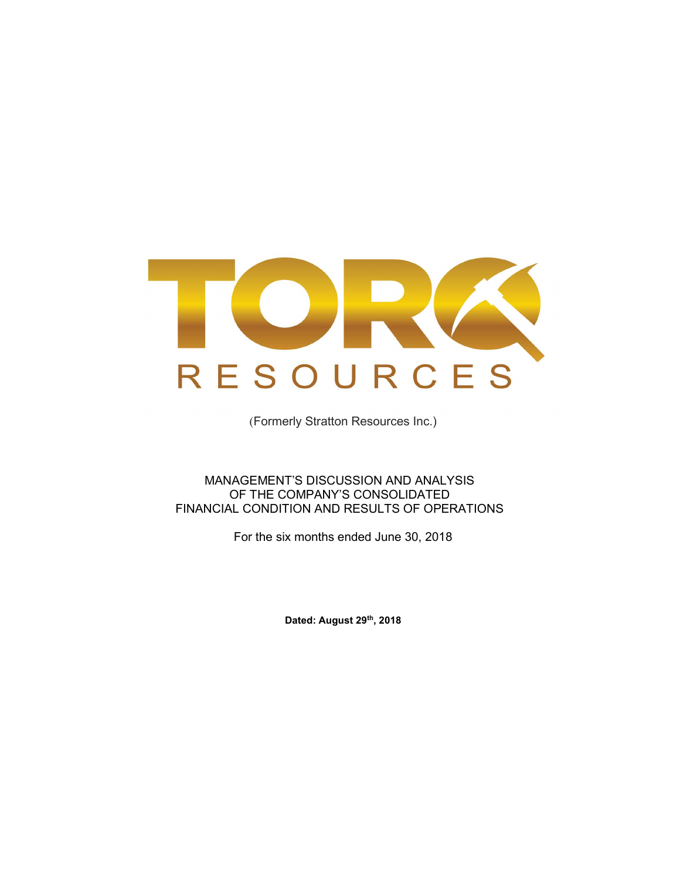

(Formerly Stratton Resources Inc.)

MANAGEMENT'S DISCUSSION AND ANALYSIS OF THE COMPANY'S CONSOLIDATED FINANCIAL CONDITION AND RESULTS OF OPERATIONS

For the six months ended June 30, 2018

Dated: August 29th, 2018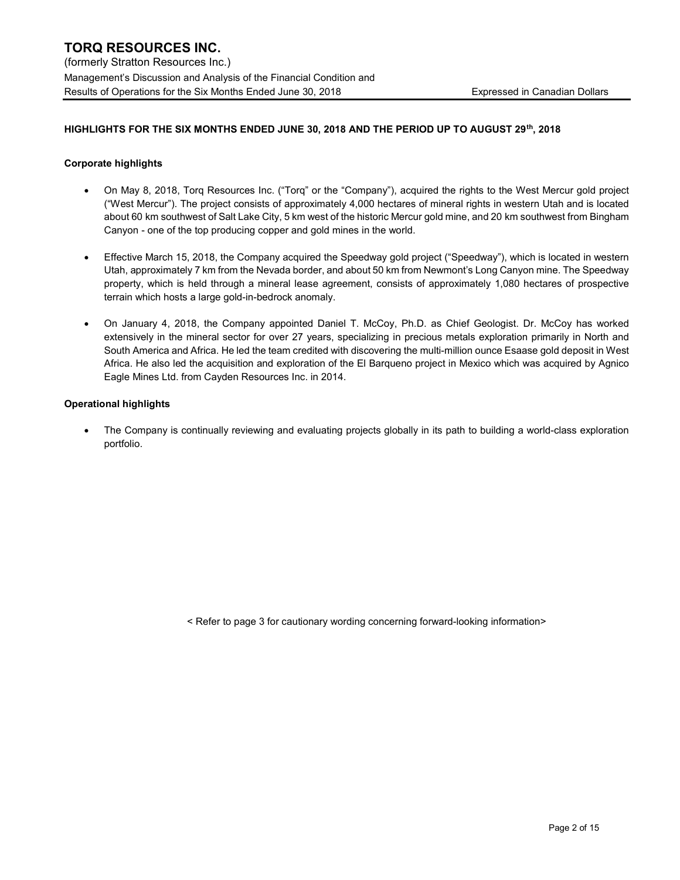#### HIGHLIGHTS FOR THE SIX MONTHS ENDED JUNE 30, 2018 AND THE PERIOD UP TO AUGUST 29th, 2018

#### Corporate highlights

- On May 8, 2018, Torq Resources Inc. ("Torq" or the "Company"), acquired the rights to the West Mercur gold project ("West Mercur"). The project consists of approximately 4,000 hectares of mineral rights in western Utah and is located about 60 km southwest of Salt Lake City, 5 km west of the historic Mercur gold mine, and 20 km southwest from Bingham Canyon - one of the top producing copper and gold mines in the world.
- Effective March 15, 2018, the Company acquired the Speedway gold project ("Speedway"), which is located in western Utah, approximately 7 km from the Nevada border, and about 50 km from Newmont's Long Canyon mine. The Speedway property, which is held through a mineral lease agreement, consists of approximately 1,080 hectares of prospective terrain which hosts a large gold-in-bedrock anomaly.
- On January 4, 2018, the Company appointed Daniel T. McCoy, Ph.D. as Chief Geologist. Dr. McCoy has worked extensively in the mineral sector for over 27 years, specializing in precious metals exploration primarily in North and South America and Africa. He led the team credited with discovering the multi-million ounce Esaase gold deposit in West Africa. He also led the acquisition and exploration of the El Barqueno project in Mexico which was acquired by Agnico Eagle Mines Ltd. from Cayden Resources Inc. in 2014.

#### Operational highlights

 The Company is continually reviewing and evaluating projects globally in its path to building a world-class exploration portfolio.

< Refer to page 3 for cautionary wording concerning forward-looking information>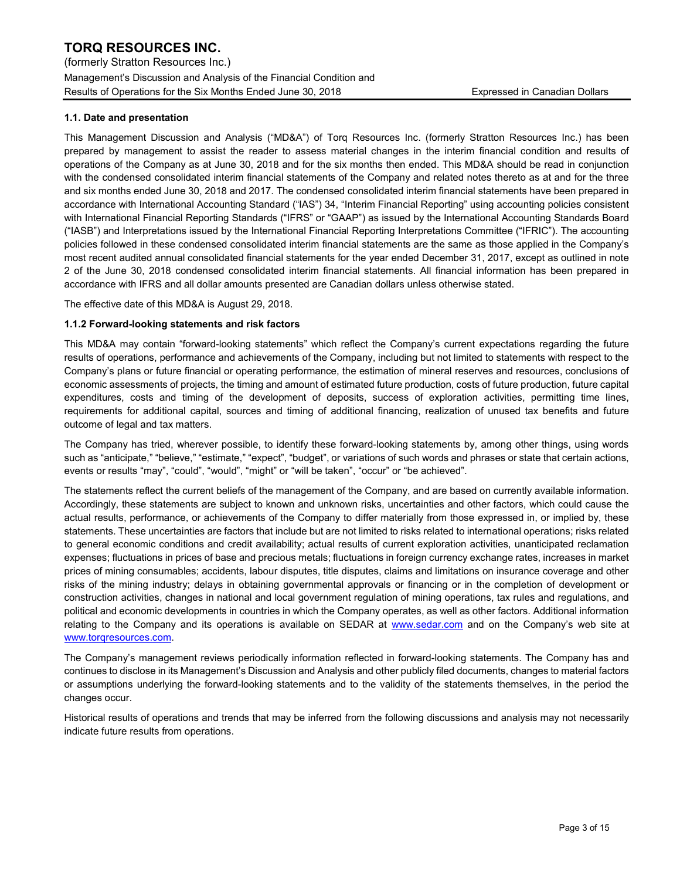(formerly Stratton Resources Inc.) Management's Discussion and Analysis of the Financial Condition and

#### 1.1. Date and presentation

This Management Discussion and Analysis ("MD&A") of Torq Resources Inc. (formerly Stratton Resources Inc.) has been prepared by management to assist the reader to assess material changes in the interim financial condition and results of operations of the Company as at June 30, 2018 and for the six months then ended. This MD&A should be read in conjunction with the condensed consolidated interim financial statements of the Company and related notes thereto as at and for the three and six months ended June 30, 2018 and 2017. The condensed consolidated interim financial statements have been prepared in accordance with International Accounting Standard ("IAS") 34, "Interim Financial Reporting" using accounting policies consistent with International Financial Reporting Standards ("IFRS" or "GAAP") as issued by the International Accounting Standards Board ("IASB") and Interpretations issued by the International Financial Reporting Interpretations Committee ("IFRIC"). The accounting policies followed in these condensed consolidated interim financial statements are the same as those applied in the Company's most recent audited annual consolidated financial statements for the year ended December 31, 2017, except as outlined in note 2 of the June 30, 2018 condensed consolidated interim financial statements. All financial information has been prepared in accordance with IFRS and all dollar amounts presented are Canadian dollars unless otherwise stated.

The effective date of this MD&A is August 29, 2018.

#### 1.1.2 Forward-looking statements and risk factors

This MD&A may contain "forward-looking statements" which reflect the Company's current expectations regarding the future results of operations, performance and achievements of the Company, including but not limited to statements with respect to the Company's plans or future financial or operating performance, the estimation of mineral reserves and resources, conclusions of economic assessments of projects, the timing and amount of estimated future production, costs of future production, future capital expenditures, costs and timing of the development of deposits, success of exploration activities, permitting time lines, requirements for additional capital, sources and timing of additional financing, realization of unused tax benefits and future outcome of legal and tax matters.

The Company has tried, wherever possible, to identify these forward-looking statements by, among other things, using words such as "anticipate," "believe," "estimate," "expect", "budget", or variations of such words and phrases or state that certain actions, events or results "may", "could", "would", "might" or "will be taken", "occur" or "be achieved".

The statements reflect the current beliefs of the management of the Company, and are based on currently available information. Accordingly, these statements are subject to known and unknown risks, uncertainties and other factors, which could cause the actual results, performance, or achievements of the Company to differ materially from those expressed in, or implied by, these statements. These uncertainties are factors that include but are not limited to risks related to international operations; risks related to general economic conditions and credit availability; actual results of current exploration activities, unanticipated reclamation expenses; fluctuations in prices of base and precious metals; fluctuations in foreign currency exchange rates, increases in market prices of mining consumables; accidents, labour disputes, title disputes, claims and limitations on insurance coverage and other risks of the mining industry; delays in obtaining governmental approvals or financing or in the completion of development or construction activities, changes in national and local government regulation of mining operations, tax rules and regulations, and political and economic developments in countries in which the Company operates, as well as other factors. Additional information relating to the Company and its operations is available on SEDAR at www.sedar.com and on the Company's web site at www.torqresources.com.

The Company's management reviews periodically information reflected in forward-looking statements. The Company has and continues to disclose in its Management's Discussion and Analysis and other publicly filed documents, changes to material factors or assumptions underlying the forward-looking statements and to the validity of the statements themselves, in the period the changes occur.

Historical results of operations and trends that may be inferred from the following discussions and analysis may not necessarily indicate future results from operations.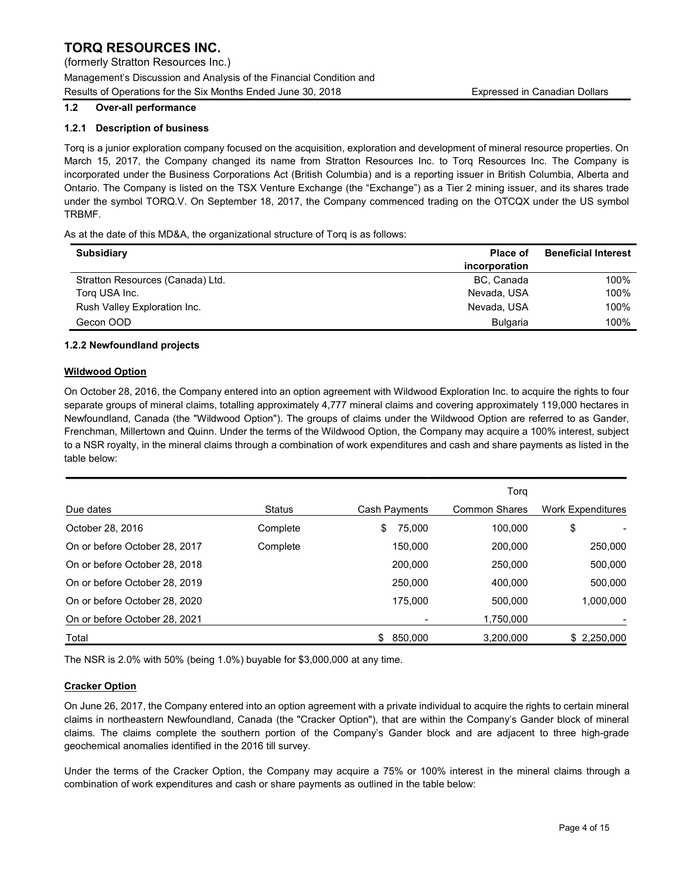(formerly Stratton Resources Inc.)

Management's Discussion and Analysis of the Financial Condition and Results of Operations for the Six Months Ended June 30, 2018 **Expressed in Canadian Dollars** Expressed in Canadian Dollars

#### 1.2 Over-all performance

### 1.2.1 Description of business

Torq is a junior exploration company focused on the acquisition, exploration and development of mineral resource properties. On March 15, 2017, the Company changed its name from Stratton Resources Inc. to Torq Resources Inc. The Company is incorporated under the Business Corporations Act (British Columbia) and is a reporting issuer in British Columbia, Alberta and Ontario. The Company is listed on the TSX Venture Exchange (the "Exchange") as a Tier 2 mining issuer, and its shares trade under the symbol TORQ.V. On September 18, 2017, the Company commenced trading on the OTCQX under the US symbol TRBMF.

As at the date of this MD&A, the organizational structure of Torq is as follows:

| <b>Subsidiary</b>                | <b>Place of</b> | <b>Beneficial Interest</b> |
|----------------------------------|-----------------|----------------------------|
|                                  | incorporation   |                            |
| Stratton Resources (Canada) Ltd. | BC, Canada      | 100%                       |
| Torg USA Inc.                    | Nevada, USA     | 100%                       |
| Rush Valley Exploration Inc.     | Nevada, USA     | 100%                       |
| Gecon OOD                        | <b>Bulgaria</b> | 100%                       |

#### 1.2.2 Newfoundland projects

#### Wildwood Option

On October 28, 2016, the Company entered into an option agreement with Wildwood Exploration Inc. to acquire the rights to four separate groups of mineral claims, totalling approximately 4,777 mineral claims and covering approximately 119,000 hectares in Newfoundland, Canada (the "Wildwood Option"). The groups of claims under the Wildwood Option are referred to as Gander, Frenchman, Millertown and Quinn. Under the terms of the Wildwood Option, the Company may acquire a 100% interest, subject to a NSR royalty, in the mineral claims through a combination of work expenditures and cash and share payments as listed in the table below:

|                               |               |                | Tora                 |                          |
|-------------------------------|---------------|----------------|----------------------|--------------------------|
| Due dates                     | <b>Status</b> | Cash Payments  | <b>Common Shares</b> | <b>Work Expenditures</b> |
| October 28, 2016              | Complete      | \$<br>75.000   | 100.000              | \$                       |
| On or before October 28, 2017 | Complete      | 150.000        | 200.000              | 250,000                  |
| On or before October 28, 2018 |               | 200,000        | 250,000              | 500,000                  |
| On or before October 28, 2019 |               | 250,000        | 400.000              | 500,000                  |
| On or before October 28, 2020 |               | 175.000        | 500,000              | 1,000,000                |
| On or before October 28, 2021 |               |                | 1,750,000            |                          |
| Total                         |               | 850.000<br>\$. | 3,200,000            | \$2,250,000              |

The NSR is 2.0% with 50% (being 1.0%) buyable for \$3,000,000 at any time.

## **Cracker Option**

On June 26, 2017, the Company entered into an option agreement with a private individual to acquire the rights to certain mineral claims in northeastern Newfoundland, Canada (the "Cracker Option"), that are within the Company's Gander block of mineral claims. The claims complete the southern portion of the Company's Gander block and are adjacent to three high-grade geochemical anomalies identified in the 2016 till survey.

Under the terms of the Cracker Option, the Company may acquire a 75% or 100% interest in the mineral claims through a combination of work expenditures and cash or share payments as outlined in the table below: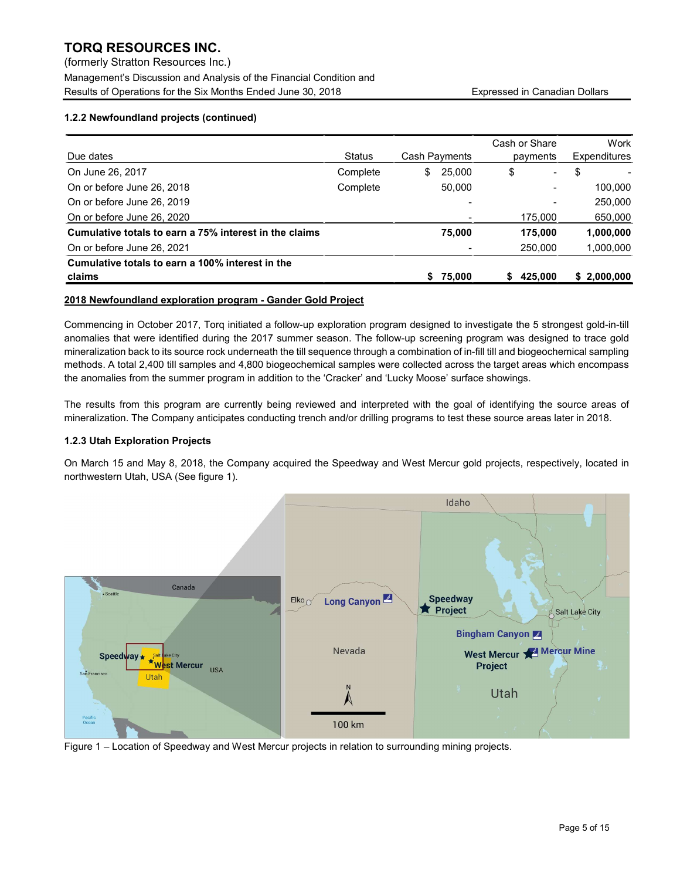(formerly Stratton Resources Inc.)

Management's Discussion and Analysis of the Financial Condition and Results of Operations for the Six Months Ended June 30, 2018 **Expressed in Canadian Dollars** Expressed in Canadian Dollars

### 1.2.2 Newfoundland projects (continued)

|                                                        |               |    |               | Cash or Share            | Work                |
|--------------------------------------------------------|---------------|----|---------------|--------------------------|---------------------|
| Due dates                                              | <b>Status</b> |    | Cash Payments | payments                 | <b>Expenditures</b> |
| On June 26, 2017                                       | Complete      | \$ | 25,000        | \$<br>-                  | \$                  |
| On or before June 26, 2018                             | Complete      |    | 50,000        | $\overline{\phantom{a}}$ | 100.000             |
| On or before June 26, 2019                             |               |    |               | $\blacksquare$           | 250,000             |
| On or before June 26, 2020                             |               |    |               | 175,000                  | 650,000             |
| Cumulative totals to earn a 75% interest in the claims |               |    | 75.000        | 175.000                  | 1,000,000           |
| On or before June 26, 2021                             |               |    |               | 250,000                  | 1,000,000           |
| Cumulative totals to earn a 100% interest in the       |               |    |               |                          |                     |
| claims                                                 |               | S. | 75,000        | 425.000<br>S             | \$2,000,000         |

## 2018 Newfoundland exploration program - Gander Gold Project

Commencing in October 2017, Torq initiated a follow-up exploration program designed to investigate the 5 strongest gold-in-till anomalies that were identified during the 2017 summer season. The follow-up screening program was designed to trace gold mineralization back to its source rock underneath the till sequence through a combination of in-fill till and biogeochemical sampling methods. A total 2,400 till samples and 4,800 biogeochemical samples were collected across the target areas which encompass the anomalies from the summer program in addition to the 'Cracker' and 'Lucky Moose' surface showings.

The results from this program are currently being reviewed and interpreted with the goal of identifying the source areas of mineralization. The Company anticipates conducting trench and/or drilling programs to test these source areas later in 2018.

#### 1.2.3 Utah Exploration Projects

On March 15 and May 8, 2018, the Company acquired the Speedway and West Mercur gold projects, respectively, located in northwestern Utah, USA (See figure 1).



Figure 1 – Location of Speedway and West Mercur projects in relation to surrounding mining projects.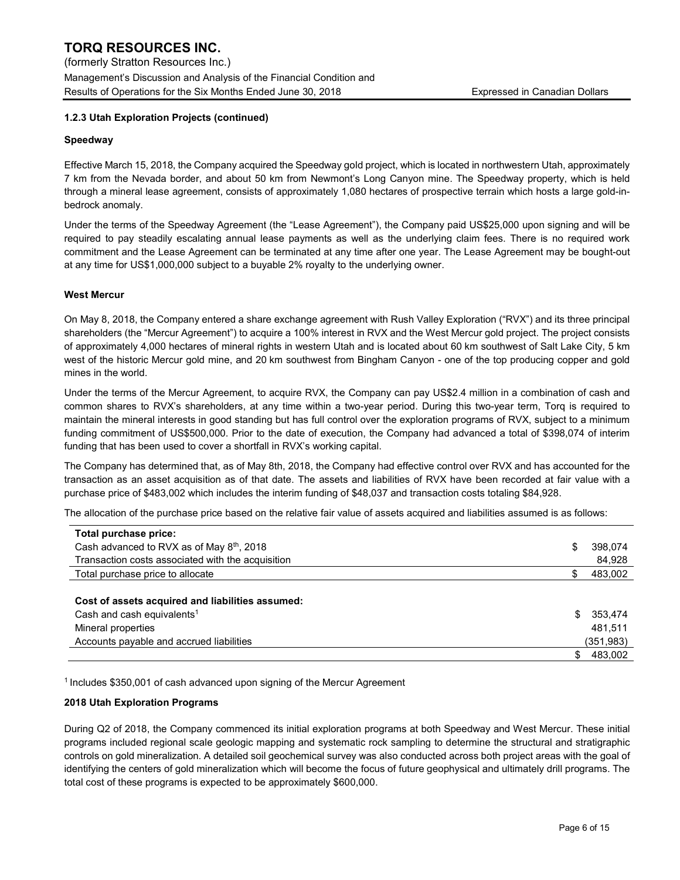(formerly Stratton Resources Inc.)

Management's Discussion and Analysis of the Financial Condition and Results of Operations for the Six Months Ended June 30, 2018 **Expressed in Canadian Dollars** Expressed in Canadian Dollars

### 1.2.3 Utah Exploration Projects (continued)

#### Speedway

Effective March 15, 2018, the Company acquired the Speedway gold project, which is located in northwestern Utah, approximately 7 km from the Nevada border, and about 50 km from Newmont's Long Canyon mine. The Speedway property, which is held through a mineral lease agreement, consists of approximately 1,080 hectares of prospective terrain which hosts a large gold-inbedrock anomaly.

Under the terms of the Speedway Agreement (the "Lease Agreement"), the Company paid US\$25,000 upon signing and will be required to pay steadily escalating annual lease payments as well as the underlying claim fees. There is no required work commitment and the Lease Agreement can be terminated at any time after one year. The Lease Agreement may be bought-out at any time for US\$1,000,000 subject to a buyable 2% royalty to the underlying owner.

#### West Mercur

On May 8, 2018, the Company entered a share exchange agreement with Rush Valley Exploration ("RVX") and its three principal shareholders (the "Mercur Agreement") to acquire a 100% interest in RVX and the West Mercur gold project. The project consists of approximately 4,000 hectares of mineral rights in western Utah and is located about 60 km southwest of Salt Lake City, 5 km west of the historic Mercur gold mine, and 20 km southwest from Bingham Canyon - one of the top producing copper and gold mines in the world.

Under the terms of the Mercur Agreement, to acquire RVX, the Company can pay US\$2.4 million in a combination of cash and common shares to RVX's shareholders, at any time within a two-year period. During this two-year term, Torq is required to maintain the mineral interests in good standing but has full control over the exploration programs of RVX, subject to a minimum funding commitment of US\$500,000. Prior to the date of execution, the Company had advanced a total of \$398,074 of interim funding that has been used to cover a shortfall in RVX's working capital.

The Company has determined that, as of May 8th, 2018, the Company had effective control over RVX and has accounted for the transaction as an asset acquisition as of that date. The assets and liabilities of RVX have been recorded at fair value with a purchase price of \$483,002 which includes the interim funding of \$48,037 and transaction costs totaling \$84,928.

The allocation of the purchase price based on the relative fair value of assets acquired and liabilities assumed is as follows:

| Total purchase price:                                                                                            |    |                    |
|------------------------------------------------------------------------------------------------------------------|----|--------------------|
| Cash advanced to RVX as of May 8 <sup>th</sup> , 2018                                                            | S  | 398.074            |
| Transaction costs associated with the acquisition                                                                |    | 84,928             |
| Total purchase price to allocate                                                                                 | S  | 483,002            |
| Cost of assets acquired and liabilities assumed:<br>Cash and cash equivalents <sup>1</sup><br>Mineral properties | \$ | 353,474<br>481.511 |
| Accounts payable and accrued liabilities                                                                         |    | (351,983)          |
|                                                                                                                  |    | 483.002            |

<sup>1</sup> Includes \$350,001 of cash advanced upon signing of the Mercur Agreement

#### 2018 Utah Exploration Programs

During Q2 of 2018, the Company commenced its initial exploration programs at both Speedway and West Mercur. These initial programs included regional scale geologic mapping and systematic rock sampling to determine the structural and stratigraphic controls on gold mineralization. A detailed soil geochemical survey was also conducted across both project areas with the goal of identifying the centers of gold mineralization which will become the focus of future geophysical and ultimately drill programs. The total cost of these programs is expected to be approximately \$600,000.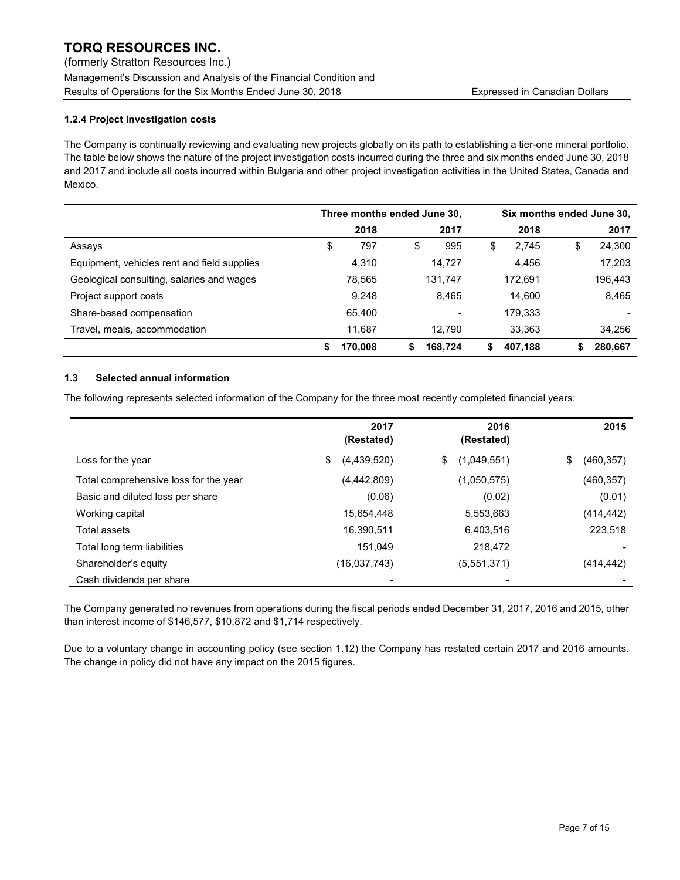(formerly Stratton Resources Inc.)

Management's Discussion and Analysis of the Financial Condition and Results of Operations for the Six Months Ended June 30, 2018 **Expressed in Canadian Dollars** 

## 1.2.4 Project investigation costs

The Company is continually reviewing and evaluating new projects globally on its path to establishing a tier-one mineral portfolio. The table below shows the nature of the project investigation costs incurred during the three and six months ended June 30, 2018 and 2017 and include all costs incurred within Bulgaria and other project investigation activities in the United States, Canada and Mexico.

|                                             |              | Three months ended June 30, | Six months ended June 30, |              |  |  |
|---------------------------------------------|--------------|-----------------------------|---------------------------|--------------|--|--|
|                                             | 2018         | 2017                        | 2018                      | 2017         |  |  |
| Assays                                      | 797<br>\$    | \$<br>995                   | 2,745<br>\$               | 24,300<br>\$ |  |  |
| Equipment, vehicles rent and field supplies | 4,310        | 14,727                      | 4,456                     | 17,203       |  |  |
| Geological consulting, salaries and wages   | 78,565       | 131,747                     | 172,691                   | 196,443      |  |  |
| Project support costs                       | 9.248        | 8.465                       | 14.600                    | 8.465        |  |  |
| Share-based compensation                    | 65.400       |                             | 179,333                   |              |  |  |
| Travel, meals, accommodation                | 11,687       | 12.790                      | 33,363                    | 34,256       |  |  |
|                                             | 170,008<br>S | 168.724                     | 407,188                   | 280,667      |  |  |

#### 1.3 Selected annual information

The following represents selected information of the Company for the three most recently completed financial years:

|                                       | 2017              | 2016              | 2015             |
|---------------------------------------|-------------------|-------------------|------------------|
|                                       | (Restated)        | (Restated)        |                  |
| Loss for the year                     | \$<br>(4,439,520) | (1,049,551)<br>\$ | \$<br>(460, 357) |
| Total comprehensive loss for the year | (4, 442, 809)     | (1,050,575)       | (460, 357)       |
| Basic and diluted loss per share      | (0.06)            | (0.02)            | (0.01)           |
| Working capital                       | 15,654,448        | 5,553,663         | (414, 442)       |
| Total assets                          | 16,390,511        | 6,403,516         | 223,518          |
| Total long term liabilities           | 151.049           | 218,472           |                  |
| Shareholder's equity                  | (16,037,743)      | (5,551,371)       | (414, 442)       |
| Cash dividends per share              |                   |                   |                  |

The Company generated no revenues from operations during the fiscal periods ended December 31, 2017, 2016 and 2015, other than interest income of \$146,577, \$10,872 and \$1,714 respectively.

Due to a voluntary change in accounting policy (see section 1.12) the Company has restated certain 2017 and 2016 amounts. The change in policy did not have any impact on the 2015 figures.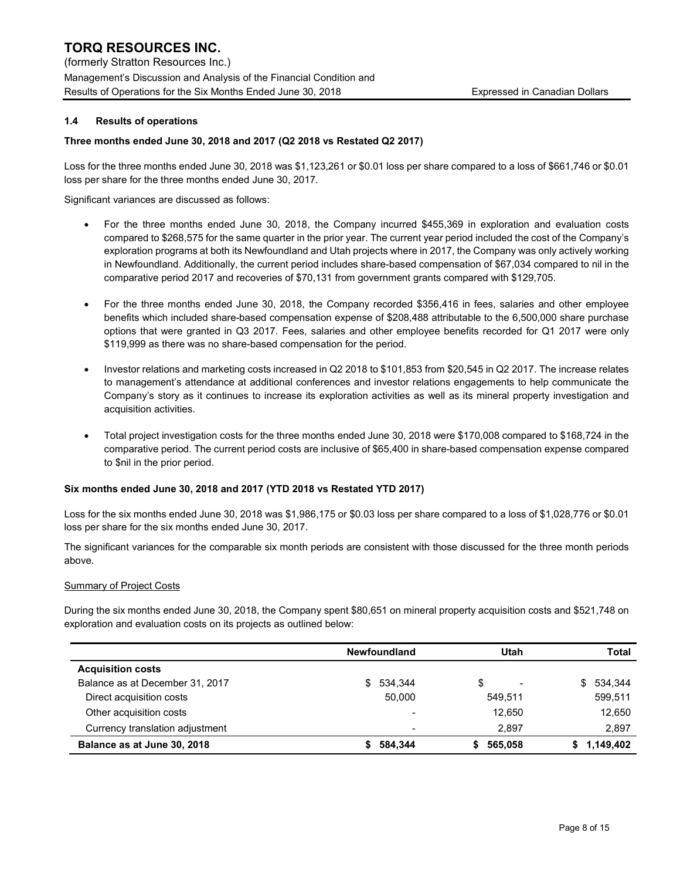(formerly Stratton Resources Inc.)

Management's Discussion and Analysis of the Financial Condition and Results of Operations for the Six Months Ended June 30, 2018 **Expressed in Canadian Dollars** Expressed in Canadian Dollars

#### 1.4 Results of operations

#### Three months ended June 30, 2018 and 2017 (Q2 2018 vs Restated Q2 2017)

Loss for the three months ended June 30, 2018 was \$1,123,261 or \$0.01 loss per share compared to a loss of \$661,746 or \$0.01 loss per share for the three months ended June 30, 2017.

Significant variances are discussed as follows:

- For the three months ended June 30, 2018, the Company incurred \$455,369 in exploration and evaluation costs compared to \$268,575 for the same quarter in the prior year. The current year period included the cost of the Company's exploration programs at both its Newfoundland and Utah projects where in 2017, the Company was only actively working in Newfoundland. Additionally, the current period includes share-based compensation of \$67,034 compared to nil in the comparative period 2017 and recoveries of \$70,131 from government grants compared with \$129,705.
- For the three months ended June 30, 2018, the Company recorded \$356,416 in fees, salaries and other employee benefits which included share-based compensation expense of \$208,488 attributable to the 6,500,000 share purchase options that were granted in Q3 2017. Fees, salaries and other employee benefits recorded for Q1 2017 were only \$119,999 as there was no share-based compensation for the period.
- Investor relations and marketing costs increased in Q2 2018 to \$101,853 from \$20,545 in Q2 2017. The increase relates to management's attendance at additional conferences and investor relations engagements to help communicate the Company's story as it continues to increase its exploration activities as well as its mineral property investigation and acquisition activities.
- Total project investigation costs for the three months ended June 30, 2018 were \$170,008 compared to \$168,724 in the comparative period. The current period costs are inclusive of \$65,400 in share-based compensation expense compared to \$nil in the prior period.

#### Six months ended June 30, 2018 and 2017 (YTD 2018 vs Restated YTD 2017)

Loss for the six months ended June 30, 2018 was \$1,986,175 or \$0.03 loss per share compared to a loss of \$1,028,776 or \$0.01 loss per share for the six months ended June 30, 2017.

The significant variances for the comparable six month periods are consistent with those discussed for the three month periods above.

#### **Summary of Project Costs**

During the six months ended June 30, 2018, the Company spent \$80,651 on mineral property acquisition costs and \$521,748 on exploration and evaluation costs on its projects as outlined below:

|                                 | <b>Newfoundland</b> | Utah                           | Total         |
|---------------------------------|---------------------|--------------------------------|---------------|
| <b>Acquisition costs</b>        |                     |                                |               |
| Balance as at December 31, 2017 | 534,344<br>S.       | \$<br>$\overline{\phantom{a}}$ | 534,344<br>S. |
| Direct acquisition costs        | 50,000              | 549.511                        | 599,511       |
| Other acquisition costs         | -                   | 12,650                         | 12,650        |
| Currency translation adjustment | -                   | 2.897                          | 2,897         |
| Balance as at June 30, 2018     | 584,344<br>S        | \$565,058                      | \$1,149,402   |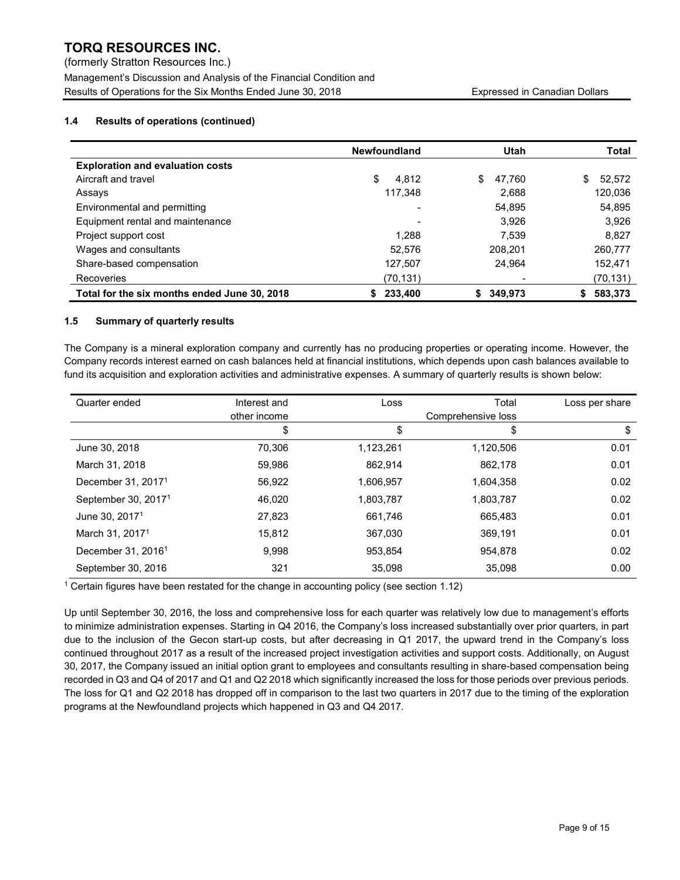(formerly Stratton Resources Inc.)

Management's Discussion and Analysis of the Financial Condition and Results of Operations for the Six Months Ended June 30, 2018 **Expressed in Canadian Dollars** Expressed in Canadian Dollars

## 1.4 Results of operations (continued)

|                                              | <b>Newfoundland</b> | <b>Utah</b>   | Total         |
|----------------------------------------------|---------------------|---------------|---------------|
| <b>Exploration and evaluation costs</b>      |                     |               |               |
| Aircraft and travel                          | \$<br>4,812         | \$<br>47,760  | \$<br>52,572  |
| Assays                                       | 117,348             | 2,688         | 120,036       |
| Environmental and permitting                 | -                   | 54,895        | 54,895        |
| Equipment rental and maintenance             |                     | 3.926         | 3,926         |
| Project support cost                         | 1,288               | 7,539         | 8,827         |
| Wages and consultants                        | 52,576              | 208.201       | 260,777       |
| Share-based compensation                     | 127,507             | 24.964        | 152,471       |
| Recoveries                                   | (70,131)            |               | (70, 131)     |
| Total for the six months ended June 30, 2018 | 233.400             | 349,973<br>S. | 583,373<br>S. |

#### 1.5 Summary of quarterly results

The Company is a mineral exploration company and currently has no producing properties or operating income. However, the Company records interest earned on cash balances held at financial institutions, which depends upon cash balances available to fund its acquisition and exploration activities and administrative expenses. A summary of quarterly results is shown below:

| Quarter ended                   | Interest and | Loss               | Total     | Loss per share |
|---------------------------------|--------------|--------------------|-----------|----------------|
|                                 | other income | Comprehensive loss |           |                |
|                                 | \$           | \$                 | \$        | \$             |
| June 30, 2018                   | 70,306       | 1,123,261          | 1,120,506 | 0.01           |
| March 31, 2018                  | 59,986       | 862,914            | 862,178   | 0.01           |
| December 31, 2017 <sup>1</sup>  | 56,922       | 1,606,957          | 1,604,358 | 0.02           |
| September 30, 2017 <sup>1</sup> | 46.020       | 1,803,787          | 1,803,787 | 0.02           |
| June 30, 2017 <sup>1</sup>      | 27.823       | 661,746            | 665.483   | 0.01           |
| March 31, 2017 <sup>1</sup>     | 15.812       | 367.030            | 369.191   | 0.01           |
| December 31, 2016 <sup>1</sup>  | 9,998        | 953.854            | 954.878   | 0.02           |
| September 30, 2016              | 321          | 35,098             | 35,098    | 0.00           |

1 Certain figures have been restated for the change in accounting policy (see section 1.12)

Up until September 30, 2016, the loss and comprehensive loss for each quarter was relatively low due to management's efforts to minimize administration expenses. Starting in Q4 2016, the Company's loss increased substantially over prior quarters, in part due to the inclusion of the Gecon start-up costs, but after decreasing in Q1 2017, the upward trend in the Company's loss continued throughout 2017 as a result of the increased project investigation activities and support costs. Additionally, on August 30, 2017, the Company issued an initial option grant to employees and consultants resulting in share-based compensation being recorded in Q3 and Q4 of 2017 and Q1 and Q2 2018 which significantly increased the loss for those periods over previous periods. The loss for Q1 and Q2 2018 has dropped off in comparison to the last two quarters in 2017 due to the timing of the exploration programs at the Newfoundland projects which happened in Q3 and Q4 2017.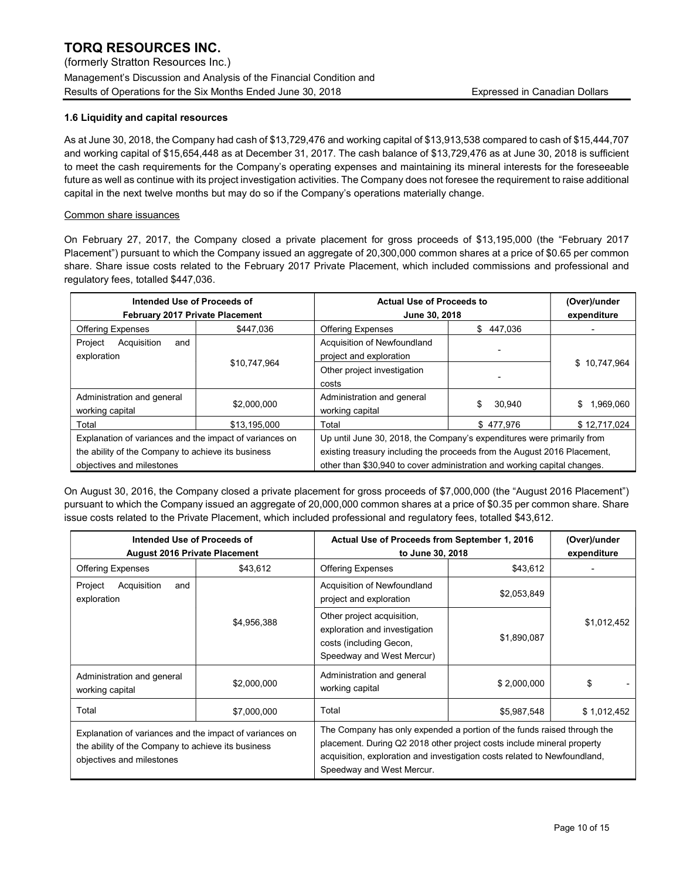(formerly Stratton Resources Inc.)

Management's Discussion and Analysis of the Financial Condition and Results of Operations for the Six Months Ended June 30, 2018 **Expressed in Canadian Dollars** 

## 1.6 Liquidity and capital resources

As at June 30, 2018, the Company had cash of \$13,729,476 and working capital of \$13,913,538 compared to cash of \$15,444,707 and working capital of \$15,654,448 as at December 31, 2017. The cash balance of \$13,729,476 as at June 30, 2018 is sufficient to meet the cash requirements for the Company's operating expenses and maintaining its mineral interests for the foreseeable future as well as continue with its project investigation activities. The Company does not foresee the requirement to raise additional capital in the next twelve months but may do so if the Company's operations materially change.

#### Common share issuances

On February 27, 2017, the Company closed a private placement for gross proceeds of \$13,195,000 (the "February 2017 Placement") pursuant to which the Company issued an aggregate of 20,300,000 common shares at a price of \$0.65 per common share. Share issue costs related to the February 2017 Private Placement, which included commissions and professional and regulatory fees, totalled \$447,036.

| Intended Use of Proceeds of<br><b>February 2017 Private Placement</b>                                                                      |              | <b>Actual Use of Proceeds to</b><br>June 30, 2018                                                                                                                                                                              |              | (Over)/under<br>expenditure |  |  |
|--------------------------------------------------------------------------------------------------------------------------------------------|--------------|--------------------------------------------------------------------------------------------------------------------------------------------------------------------------------------------------------------------------------|--------------|-----------------------------|--|--|
| <b>Offering Expenses</b>                                                                                                                   | \$447.036    | <b>Offering Expenses</b>                                                                                                                                                                                                       | \$447,036    |                             |  |  |
| Project<br>Acquisition<br>and<br>exploration                                                                                               |              | Acquisition of Newfoundland<br>project and exploration                                                                                                                                                                         |              |                             |  |  |
|                                                                                                                                            | \$10,747,964 | Other project investigation<br>costs                                                                                                                                                                                           |              | \$10,747,964                |  |  |
| Administration and general<br>working capital                                                                                              | \$2,000,000  | Administration and general<br>working capital                                                                                                                                                                                  | 30.940<br>\$ | \$<br>1,969,060             |  |  |
| Total                                                                                                                                      | \$13.195.000 | Total                                                                                                                                                                                                                          | \$477.976    | \$12,717,024                |  |  |
| Explanation of variances and the impact of variances on<br>the ability of the Company to achieve its business<br>objectives and milestones |              | Up until June 30, 2018, the Company's expenditures were primarily from<br>existing treasury including the proceeds from the August 2016 Placement,<br>other than \$30,940 to cover administration and working capital changes. |              |                             |  |  |

On August 30, 2016, the Company closed a private placement for gross proceeds of \$7,000,000 (the "August 2016 Placement") pursuant to which the Company issued an aggregate of 20,000,000 common shares at a price of \$0.35 per common share. Share issue costs related to the Private Placement, which included professional and regulatory fees, totalled \$43,612.

| Intended Use of Proceeds of<br><b>August 2016 Private Placement</b>                                                                        |             | Actual Use of Proceeds from September 1, 2016<br>to June 30, 2018                                                                                                                                                                                           | (Over)/under<br>expenditure |             |  |  |
|--------------------------------------------------------------------------------------------------------------------------------------------|-------------|-------------------------------------------------------------------------------------------------------------------------------------------------------------------------------------------------------------------------------------------------------------|-----------------------------|-------------|--|--|
| <b>Offering Expenses</b>                                                                                                                   | \$43,612    | <b>Offering Expenses</b>                                                                                                                                                                                                                                    | \$43,612                    |             |  |  |
| Project<br>Acquisition<br>and<br>exploration                                                                                               |             | Acquisition of Newfoundland<br>project and exploration                                                                                                                                                                                                      | \$2,053,849                 |             |  |  |
|                                                                                                                                            | \$4,956,388 | Other project acquisition,<br>exploration and investigation<br>costs (including Gecon,<br>Speedway and West Mercur)                                                                                                                                         | \$1,890,087                 | \$1,012,452 |  |  |
| Administration and general<br>working capital                                                                                              | \$2,000,000 | Administration and general<br>working capital                                                                                                                                                                                                               | \$2,000,000                 | \$          |  |  |
| Total                                                                                                                                      | \$7,000,000 | Total<br>\$5,987,548                                                                                                                                                                                                                                        |                             | \$1,012,452 |  |  |
| Explanation of variances and the impact of variances on<br>the ability of the Company to achieve its business<br>objectives and milestones |             | The Company has only expended a portion of the funds raised through the<br>placement. During Q2 2018 other project costs include mineral property<br>acquisition, exploration and investigation costs related to Newfoundland,<br>Speedway and West Mercur. |                             |             |  |  |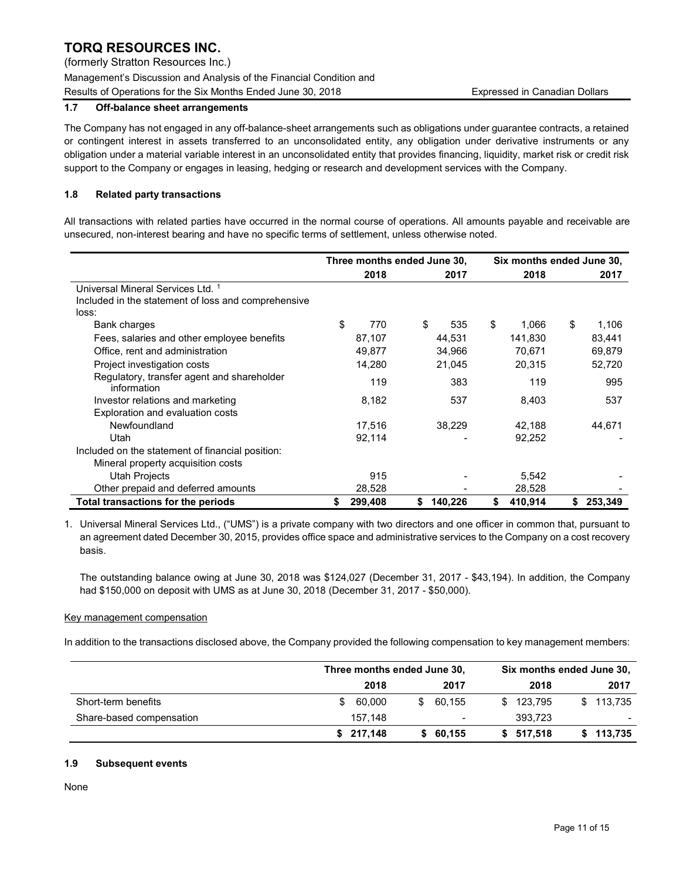(formerly Stratton Resources Inc.)

Management's Discussion and Analysis of the Financial Condition and Results of Operations for the Six Months Ended June 30, 2018 **Expressed in Canadian Dollars** 

#### 1.7 Off-balance sheet arrangements

The Company has not engaged in any off-balance-sheet arrangements such as obligations under guarantee contracts, a retained or contingent interest in assets transferred to an unconsolidated entity, any obligation under derivative instruments or any obligation under a material variable interest in an unconsolidated entity that provides financing, liquidity, market risk or credit risk support to the Company or engages in leasing, hedging or research and development services with the Company.

### 1.8 Related party transactions

All transactions with related parties have occurred in the normal course of operations. All amounts payable and receivable are unsecured, non-interest bearing and have no specific terms of settlement, unless otherwise noted.

|                                                           | Three months ended June 30, |         |    | Six months ended June 30, |               |    |         |
|-----------------------------------------------------------|-----------------------------|---------|----|---------------------------|---------------|----|---------|
|                                                           |                             | 2018    |    | 2017                      | 2018          |    | 2017    |
| Universal Mineral Services Ltd. <sup>1</sup>              |                             |         |    |                           |               |    |         |
| Included in the statement of loss and comprehensive       |                             |         |    |                           |               |    |         |
| loss:                                                     |                             |         |    |                           |               |    |         |
| Bank charges                                              | \$                          | 770     | \$ | 535                       | \$<br>1,066   | \$ | 1,106   |
| Fees, salaries and other employee benefits                |                             | 87,107  |    | 44,531                    | 141,830       |    | 83,441  |
| Office, rent and administration                           |                             | 49,877  |    | 34,966                    | 70,671        |    | 69,879  |
| Project investigation costs                               |                             | 14.280  |    | 21,045                    | 20,315        |    | 52,720  |
| Regulatory, transfer agent and shareholder<br>information |                             | 119     |    | 383                       | 119           |    | 995     |
| Investor relations and marketing                          |                             | 8,182   |    | 537                       | 8,403         |    | 537     |
| Exploration and evaluation costs                          |                             |         |    |                           |               |    |         |
| Newfoundland                                              |                             | 17,516  |    | 38.229                    | 42,188        |    | 44,671  |
| Utah                                                      |                             | 92,114  |    |                           | 92,252        |    |         |
| Included on the statement of financial position:          |                             |         |    |                           |               |    |         |
| Mineral property acquisition costs                        |                             |         |    |                           |               |    |         |
| <b>Utah Projects</b>                                      |                             | 915     |    |                           | 5,542         |    |         |
| Other prepaid and deferred amounts                        |                             | 28,528  |    |                           | 28,528        |    |         |
| Total transactions for the periods                        | \$                          | 299,408 | \$ | 140,226                   | \$<br>410,914 | \$ | 253,349 |

1. Universal Mineral Services Ltd., ("UMS") is a private company with two directors and one officer in common that, pursuant to an agreement dated December 30, 2015, provides office space and administrative services to the Company on a cost recovery basis.

The outstanding balance owing at June 30, 2018 was \$124,027 (December 31, 2017 - \$43,194). In addition, the Company had \$150,000 on deposit with UMS as at June 30, 2018 (December 31, 2017 - \$50,000).

#### Key management compensation

In addition to the transactions disclosed above, the Company provided the following compensation to key management members:

|                          | Three months ended June 30, |                 |           | Six months ended June 30, |  |  |
|--------------------------|-----------------------------|-----------------|-----------|---------------------------|--|--|
|                          | 2018                        | 2017            | 2018      | 2017                      |  |  |
| Short-term benefits      | 60.000<br>\$.               | 60.155<br>S.    | \$123.795 | \$113.735                 |  |  |
| Share-based compensation | 157.148                     | $\qquad \qquad$ | 393.723   |                           |  |  |
|                          | \$217,148                   | 60.155          | \$517,518 | \$113,735                 |  |  |

#### 1.9 Subsequent events

None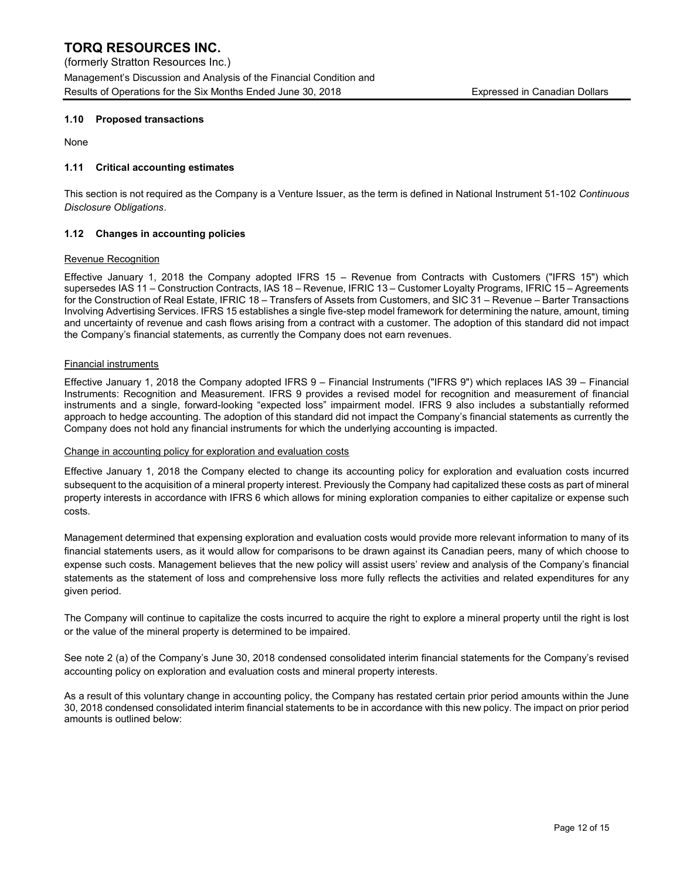(formerly Stratton Resources Inc.)

Management's Discussion and Analysis of the Financial Condition and Results of Operations for the Six Months Ended June 30, 2018 **Expressed in Canadian Dollars** Expressed in Canadian Dollars

#### 1.10 Proposed transactions

None

#### 1.11 Critical accounting estimates

This section is not required as the Company is a Venture Issuer, as the term is defined in National Instrument 51-102 Continuous Disclosure Obligations.

#### 1.12 Changes in accounting policies

#### Revenue Recognition

Effective January 1, 2018 the Company adopted IFRS 15 – Revenue from Contracts with Customers ("IFRS 15") which supersedes IAS 11 – Construction Contracts, IAS 18 – Revenue, IFRIC 13 – Customer Loyalty Programs, IFRIC 15 – Agreements for the Construction of Real Estate, IFRIC 18 – Transfers of Assets from Customers, and SIC 31 – Revenue – Barter Transactions Involving Advertising Services. IFRS 15 establishes a single five-step model framework for determining the nature, amount, timing and uncertainty of revenue and cash flows arising from a contract with a customer. The adoption of this standard did not impact the Company's financial statements, as currently the Company does not earn revenues.

#### Financial instruments

Effective January 1, 2018 the Company adopted IFRS 9 – Financial Instruments ("IFRS 9") which replaces IAS 39 – Financial Instruments: Recognition and Measurement. IFRS 9 provides a revised model for recognition and measurement of financial instruments and a single, forward-looking "expected loss" impairment model. IFRS 9 also includes a substantially reformed approach to hedge accounting. The adoption of this standard did not impact the Company's financial statements as currently the Company does not hold any financial instruments for which the underlying accounting is impacted.

#### Change in accounting policy for exploration and evaluation costs

Effective January 1, 2018 the Company elected to change its accounting policy for exploration and evaluation costs incurred subsequent to the acquisition of a mineral property interest. Previously the Company had capitalized these costs as part of mineral property interests in accordance with IFRS 6 which allows for mining exploration companies to either capitalize or expense such costs.

Management determined that expensing exploration and evaluation costs would provide more relevant information to many of its financial statements users, as it would allow for comparisons to be drawn against its Canadian peers, many of which choose to expense such costs. Management believes that the new policy will assist users' review and analysis of the Company's financial statements as the statement of loss and comprehensive loss more fully reflects the activities and related expenditures for any given period.

The Company will continue to capitalize the costs incurred to acquire the right to explore a mineral property until the right is lost or the value of the mineral property is determined to be impaired.

See note 2 (a) of the Company's June 30, 2018 condensed consolidated interim financial statements for the Company's revised accounting policy on exploration and evaluation costs and mineral property interests.

As a result of this voluntary change in accounting policy, the Company has restated certain prior period amounts within the June 30, 2018 condensed consolidated interim financial statements to be in accordance with this new policy. The impact on prior period amounts is outlined below: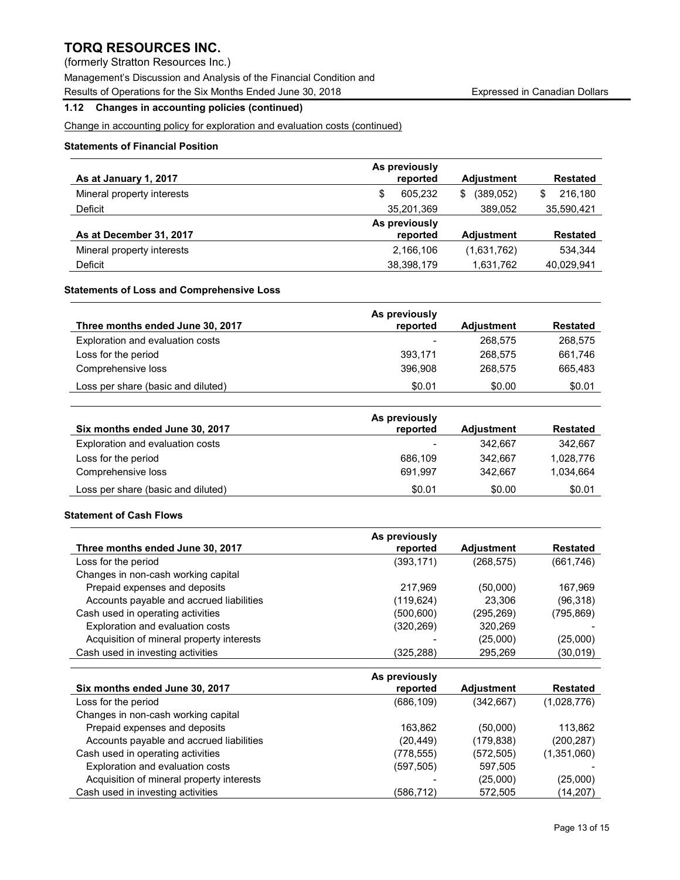(formerly Stratton Resources Inc.)

Management's Discussion and Analysis of the Financial Condition and

Results of Operations for the Six Months Ended June 30, 2018 **Expressed in Canadian Dollars** 

## 1.12 Changes in accounting policies (continued)

Change in accounting policy for exploration and evaluation costs (continued)

## Statements of Financial Position

|                            | As previously |                   |                 |
|----------------------------|---------------|-------------------|-----------------|
| As at January 1, 2017      | reported      | <b>Adjustment</b> | <b>Restated</b> |
| Mineral property interests | 605.232<br>S  | (389,052)<br>\$   | 216.180<br>S    |
| Deficit                    | 35,201,369    | 389.052           | 35,590,421      |
|                            | As previously |                   |                 |
| As at December 31, 2017    | reported      | <b>Adiustment</b> | <b>Restated</b> |
| Mineral property interests | 2,166,106     | (1,631,762)       | 534.344         |
| Deficit                    | 38,398,179    | 1,631,762         | 40,029,941      |

#### Statements of Loss and Comprehensive Loss

| Three months ended June 30, 2017   | As previously<br>reported | <b>Adjustment</b> | <b>Restated</b> |
|------------------------------------|---------------------------|-------------------|-----------------|
| Exploration and evaluation costs   | $\blacksquare$            | 268.575           | 268,575         |
| Loss for the period                | 393.171                   | 268,575           | 661.746         |
| Comprehensive loss                 | 396.908                   | 268.575           | 665.483         |
| Loss per share (basic and diluted) | \$0.01                    | \$0.00            | \$0.01          |

|                                    | As previously |                   |                 |
|------------------------------------|---------------|-------------------|-----------------|
| Six months ended June 30, 2017     | reported      | <b>Adjustment</b> | <b>Restated</b> |
| Exploration and evaluation costs   |               | 342.667           | 342.667         |
| Loss for the period                | 686.109       | 342.667           | 1,028,776       |
| Comprehensive loss                 | 691.997       | 342.667           | 1,034,664       |
| Loss per share (basic and diluted) | \$0.01        | \$0.00            | \$0.01          |

## Statement of Cash Flows

|                                           | As previously |            |            |
|-------------------------------------------|---------------|------------|------------|
| Three months ended June 30, 2017          | reported      | Adjustment | Restated   |
| Loss for the period                       | (393, 171)    | (268, 575) | (661, 746) |
| Changes in non-cash working capital       |               |            |            |
| Prepaid expenses and deposits             | 217.969       | (50,000)   | 167,969    |
| Accounts payable and accrued liabilities  | (119, 624)    | 23.306     | (96, 318)  |
| Cash used in operating activities         | (500,600)     | (295, 269) | (795,869)  |
| Exploration and evaluation costs          | (320, 269)    | 320,269    |            |
| Acquisition of mineral property interests |               | (25,000)   | (25,000)   |
| Cash used in investing activities         | (325,288)     | 295,269    | (30,019)   |
|                                           |               |            |            |

|                                           | As previously |                   |                 |
|-------------------------------------------|---------------|-------------------|-----------------|
| Six months ended June 30, 2017            | reported      | <b>Adjustment</b> | <b>Restated</b> |
| Loss for the period                       | (686, 109)    | (342, 667)        | (1,028,776)     |
| Changes in non-cash working capital       |               |                   |                 |
| Prepaid expenses and deposits             | 163.862       | (50,000)          | 113.862         |
| Accounts payable and accrued liabilities  | (20, 449)     | (179.838)         | (200, 287)      |
| Cash used in operating activities         | (778, 555)    | (572, 505)        | (1,351,060)     |
| Exploration and evaluation costs          | (597, 505)    | 597,505           |                 |
| Acquisition of mineral property interests |               | (25,000)          | (25,000)        |
| Cash used in investing activities         | (586,712)     | 572,505           | (14, 207)       |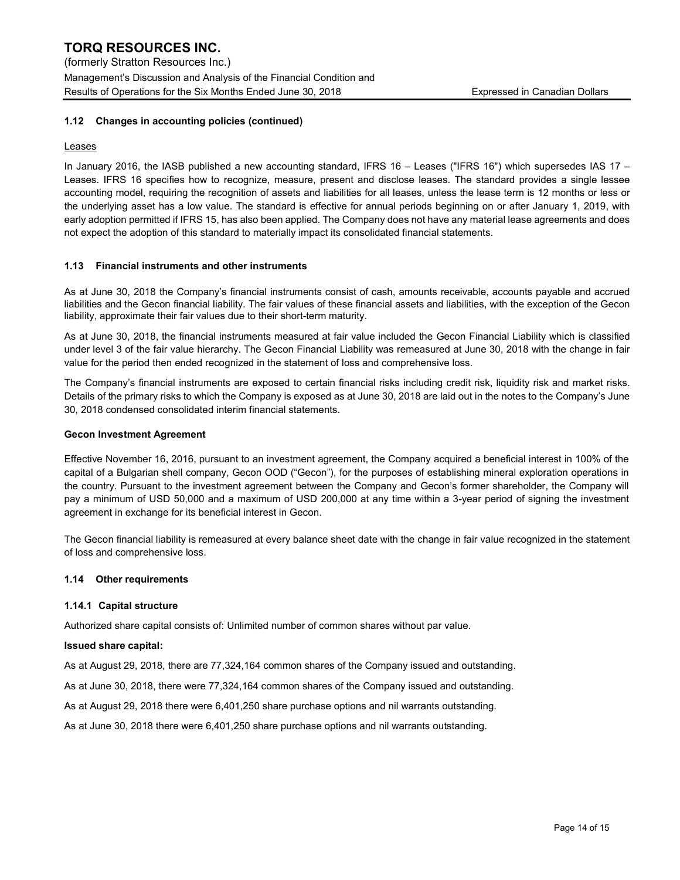#### 1.12 Changes in accounting policies (continued)

#### **Leases**

In January 2016, the IASB published a new accounting standard, IFRS 16 – Leases ("IFRS 16") which supersedes IAS 17 – Leases. IFRS 16 specifies how to recognize, measure, present and disclose leases. The standard provides a single lessee accounting model, requiring the recognition of assets and liabilities for all leases, unless the lease term is 12 months or less or the underlying asset has a low value. The standard is effective for annual periods beginning on or after January 1, 2019, with early adoption permitted if IFRS 15, has also been applied. The Company does not have any material lease agreements and does not expect the adoption of this standard to materially impact its consolidated financial statements.

#### 1.13 Financial instruments and other instruments

As at June 30, 2018 the Company's financial instruments consist of cash, amounts receivable, accounts payable and accrued liabilities and the Gecon financial liability. The fair values of these financial assets and liabilities, with the exception of the Gecon liability, approximate their fair values due to their short-term maturity.

As at June 30, 2018, the financial instruments measured at fair value included the Gecon Financial Liability which is classified under level 3 of the fair value hierarchy. The Gecon Financial Liability was remeasured at June 30, 2018 with the change in fair value for the period then ended recognized in the statement of loss and comprehensive loss.

The Company's financial instruments are exposed to certain financial risks including credit risk, liquidity risk and market risks. Details of the primary risks to which the Company is exposed as at June 30, 2018 are laid out in the notes to the Company's June 30, 2018 condensed consolidated interim financial statements.

#### Gecon Investment Agreement

Effective November 16, 2016, pursuant to an investment agreement, the Company acquired a beneficial interest in 100% of the capital of a Bulgarian shell company, Gecon OOD ("Gecon"), for the purposes of establishing mineral exploration operations in the country. Pursuant to the investment agreement between the Company and Gecon's former shareholder, the Company will pay a minimum of USD 50,000 and a maximum of USD 200,000 at any time within a 3-year period of signing the investment agreement in exchange for its beneficial interest in Gecon.

The Gecon financial liability is remeasured at every balance sheet date with the change in fair value recognized in the statement of loss and comprehensive loss.

#### 1.14 Other requirements

#### 1.14.1 Capital structure

Authorized share capital consists of: Unlimited number of common shares without par value.

#### Issued share capital:

As at August 29, 2018, there are 77,324,164 common shares of the Company issued and outstanding.

As at June 30, 2018, there were 77,324,164 common shares of the Company issued and outstanding.

As at August 29, 2018 there were 6,401,250 share purchase options and nil warrants outstanding.

As at June 30, 2018 there were 6,401,250 share purchase options and nil warrants outstanding.